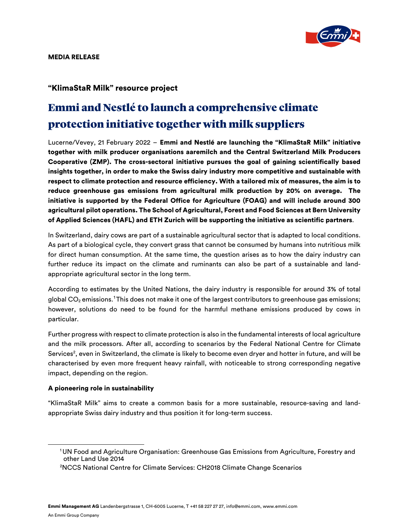

## "KlimaStaR Milk" resource project

# Emmi and Nestlé to launch a comprehensive climate protection initiative together with milk suppliers

Lucerne/Vevey, 21 February 2022 – Emmi and Nestlé are launching the "KlimaStaR Milk" initiative together with milk producer organisations aaremilch and the Central Switzerland Milk Producers Cooperative (ZMP). The cross-sectoral initiative pursues the goal of gaining scientifically based insights together, in order to make the Swiss dairy industry more competitive and sustainable with respect to climate protection and resource efficiency. With a tailored mix of measures, the aim is to reduce greenhouse gas emissions from agricultural milk production by 20% on average. The initiative is supported by the Federal Office for Agriculture (FOAG) and will include around 300 agricultural pilot operations. The School of Agricultural, Forest and Food Sciences at Bern University of Applied Sciences (HAFL) and ETH Zurich will be supporting the initiative as scientific partners.

In Switzerland, dairy cows are part of a sustainable agricultural sector that is adapted to local conditions. As part of a biological cycle, they convert grass that cannot be consumed by humans into nutritious milk for direct human consumption. At the same time, the question arises as to how the dairy industry can further reduce its impact on the climate and ruminants can also be part of a sustainable and landappropriate agricultural sector in the long term.

According to estimates by the United Nations, the dairy industry is responsible for around 3% of total global CO<sub>2</sub> emissions.<sup>[1](#page-0-0)</sup>This does not make it one of the largest contributors to greenhouse gas emissions; however, solutions do need to be found for the harmful methane emissions produced by cows in particular.

Further progress with respect to climate protection is also in the fundamental interests of local agriculture and the milk processors. After all, according to scenarios by the Federal National Centre for Climate Services<sup>2</sup>, even in Switzerland, the climate is likely to become even dryer and hotter in future, and will be characterised by even more frequent heavy rainfall, with noticeable to strong corresponding negative impact, depending on the region.

### A pioneering role in sustainability

"KlimaStaR Milk" aims to create a common basis for a more sustainable, resource-saving and landappropriate Swiss dairy industry and thus position it for long-term success.

<span id="page-0-0"></span><sup>1</sup>UN Food and Agriculture Organisation: Greenhouse Gas Emissions from Agriculture, Forestry and other Land Use 2014

<sup>2</sup> NCCS National Centre for Climate Services: CH2018 Climate Change Scenarios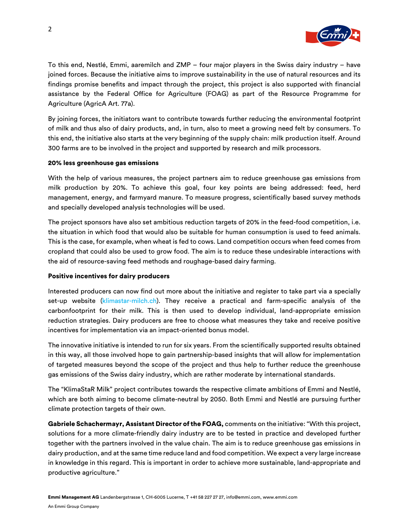

To this end, Nestlé, Emmi, aaremilch and ZMP – four major players in the Swiss dairy industry – have joined forces. Because the initiative aims to improve sustainability in the use of natural resources and its findings promise benefits and impact through the project, this project is also supported with financial assistance by the Federal Office for Agriculture (FOAG) as part of the Resource Programme for Agriculture (AgricA Art. 77a).

By joining forces, the initiators want to contribute towards further reducing the environmental footprint of milk and thus also of dairy products, and, in turn, also to meet a growing need felt by consumers. To this end, the initiative also starts at the very beginning of the supply chain: milk production itself. Around 300 farms are to be involved in the project and supported by research and milk processors.

#### 20% less greenhouse gas emissions

With the help of various measures, the project partners aim to reduce greenhouse gas emissions from milk production by 20%. To achieve this goal, four key points are being addressed: feed, herd management, energy, and farmyard manure. To measure progress, scientifically based survey methods and specially developed analysis technologies will be used.

The project sponsors have also set ambitious reduction targets of 20% in the feed-food competition, i.e. the situation in which food that would also be suitable for human consumption is used to feed animals. This is the case, for example, when wheat is fed to cows. Land competition occurs when feed comes from cropland that could also be used to grow food. The aim is to reduce these undesirable interactions with the aid of resource-saving feed methods and roughage-based dairy farming.

#### Positive incentives for dairy producers

Interested producers can now find out more about the initiative and register to take part via a specially set-up website [\(klimastar-milch.ch\)](https://www.klimastar-milch.ch/teilnahme). They receive a practical and farm-specific analysis of the carbonfootprint for their milk. This is then used to develop individual, land-appropriate emission reduction strategies. Dairy producers are free to choose what measures they take and receive positive incentives for implementation via an impact-oriented bonus model.

The innovative initiative is intended to run for six years. From the scientifically supported results obtained in this way, all those involved hope to gain partnership-based insights that will allow for implementation of targeted measures beyond the scope of the project and thus help to further reduce the greenhouse gas emissions of the Swiss dairy industry, which are rather moderate by international standards.

The "KlimaStaR Milk" project contributes towards the respective climate ambitions of Emmi and Nestlé, which are both aiming to become climate-neutral by 2050. Both Emmi and Nestlé are pursuing further climate protection targets of their own.

Gabriele Schachermayr, Assistant Director of the FOAG, comments on the initiative: "With this project, solutions for a more climate-friendly dairy industry are to be tested in practice and developed further together with the partners involved in the value chain. The aim is to reduce greenhouse gas emissions in dairy production, and at the same time reduce land and food competition. We expect a very large increase in knowledge in this regard. This is important in order to achieve more sustainable, land-appropriate and productive agriculture."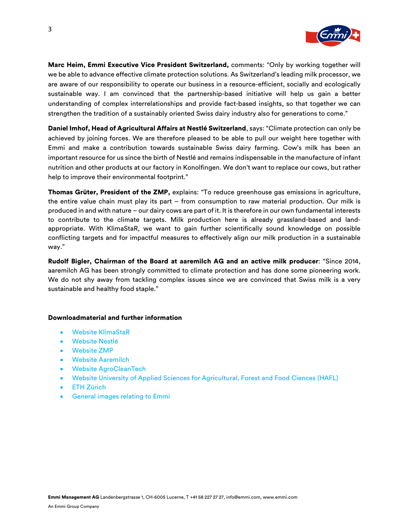

Marc Heim, Emmi Executive Vice President Switzerland, comments: "Only by working together will we be able to advance effective climate protection solutions. As Switzerland's leading milk processor, we are aware of our responsibility to operate our business in a resource-efficient, socially and ecologically sustainable way. I am convinced that the partnership-based initiative will help us gain a better understanding of complex interrelationships and provide fact-based insights, so that together we can strengthen the tradition of a sustainably oriented Swiss dairy industry also for generations to come."

Daniel Imhof, Head of Agricultural Affairs at Nestlé Switzerland, says: "Climate protection can only be achieved by joining forces. We are therefore pleased to be able to pull our weight here together with Emmi and make a contribution towards sustainable Swiss dairy farming. Cow's milk has been an important resource for us since the birth of Nestlé and remains indispensable in the manufacture of infant nutrition and other products at our factory in Konolfingen. We don't want to replace our cows, but rather help to improve their environmental footprint."

Thomas Grüter, President of the ZMP, explains: "To reduce greenhouse gas emissions in agriculture, the entire value chain must play its part – from consumption to raw material production. Our milk is produced in and with nature – our dairy cows are part of it. It is therefore in our own fundamental interests to contribute to the climate targets. Milk production here is already grassland-based and landappropriate. With KlimaStaR, we want to gain further scientifically sound knowledge on possible conflicting targets and for impactful measures to effectively align our milk production in a sustainable way."

Rudolf Bigler, Chairman of the Board at aaremilch AG and an active milk producer: "Since 2014, aaremilch AG has been strongly committed to climate protection and has done some pioneering work. We do not shy away from tackling complex issues since we are convinced that Swiss milk is a very sustainable and healthy food staple."

#### Downloadmaterial and further information

- [Website KlimaStaR](https://www.klimastar-milch.ch/teilnahme)
- **[Website Nestlé](https://www.nestle.ch/de)**
- [Website ZMP](https://www.zmp.ch/)
- [Website Aaremilch](https://www.aaremilch.ch/de/engagement/)
- [Website AgroCleanTech](https://www.agrocleantech.ch/de/)
- Website University [of Applied Sciences for Agricultural, Forest and Food Ciences \(HAFL\)](https://www.bfh.ch/hafl/en/)
- [ETH Zürich](https://ethz.ch/en.html)
- [General images relating to Emmi](https://mediabox.emmi.ch/)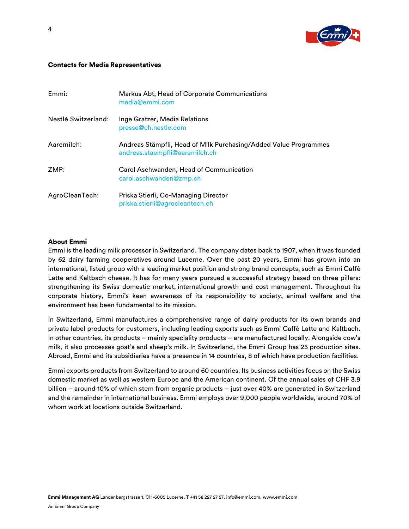

#### Contacts for Media Representatives

| Emmi:               | Markus Abt, Head of Corporate Communications<br>media@emmi.com                                     |
|---------------------|----------------------------------------------------------------------------------------------------|
| Nestlé Switzerland: | Inge Gratzer, Media Relations<br>presse@ch.nestle.com                                              |
| Aaremilch:          | Andreas Stämpfli, Head of Milk Purchasing/Added Value Programmes<br>andreas.staempfli@aaremilch.ch |
| ZMP:                | Carol Aschwanden, Head of Communication<br>carol.aschwanden@zmp.ch                                 |
| AgroCleanTech:      | Priska Stierli, Co-Managing Director<br>priska.stierli@agrocleantech.ch                            |

#### About Emmi

Emmi is the leading milk processor in Switzerland. The company dates back to 1907, when it was founded by 62 dairy farming cooperatives around Lucerne. Over the past 20 years, Emmi has grown into an international, listed group with a leading market position and strong brand concepts, such as Emmi Caffè Latte and Kaltbach cheese. It has for many years pursued a successful strategy based on three pillars: strengthening its Swiss domestic market, international growth and cost management. Throughout its corporate history, Emmi's keen awareness of its responsibility to society, animal welfare and the environment has been fundamental to its mission.

In Switzerland, Emmi manufactures a comprehensive range of dairy products for its own brands and private label products for customers, including leading exports such as Emmi Caffè Latte and Kaltbach. In other countries, its products – mainly speciality products – are manufactured locally. Alongside cow's milk, it also processes goat's and sheep's milk. In Switzerland, the Emmi Group has 25 production sites. Abroad, Emmi and its subsidiaries have a presence in 14 countries, 8 of which have production facilities.

Emmi exports products from Switzerland to around 60 countries. Its business activities focus on the Swiss domestic market as well as western Europe and the American continent. Of the annual sales of CHF 3.9 billion – around 10% of which stem from organic products – just over 40% are generated in Switzerland and the remainder in international business. Emmi employs over 9,000 people worldwide, around 70% of whom work at locations outside Switzerland.